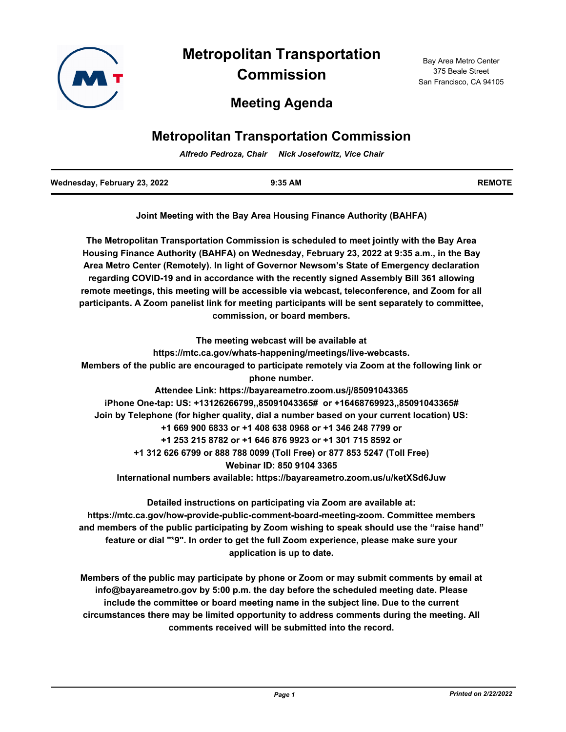

**Metropolitan Transportation** 

**Commission**

**Meeting Agenda**

# **Metropolitan Transportation Commission**

*Alfredo Pedroza, Chair Nick Josefowitz, Vice Chair*

| Wednesday, February 23, 2022 | $9:35$ AM | <b>REMOTE</b> |
|------------------------------|-----------|---------------|
|                              |           |               |

**Joint Meeting with the Bay Area Housing Finance Authority (BAHFA)**

**The Metropolitan Transportation Commission is scheduled to meet jointly with the Bay Area Housing Finance Authority (BAHFA) on Wednesday, February 23, 2022 at 9:35 a.m., in the Bay Area Metro Center (Remotely). In light of Governor Newsom's State of Emergency declaration regarding COVID-19 and in accordance with the recently signed Assembly Bill 361 allowing remote meetings, this meeting will be accessible via webcast, teleconference, and Zoom for all participants. A Zoom panelist link for meeting participants will be sent separately to committee, commission, or board members.**

**The meeting webcast will be available at https://mtc.ca.gov/whats-happening/meetings/live-webcasts. Members of the public are encouraged to participate remotely via Zoom at the following link or phone number. Attendee Link: https://bayareametro.zoom.us/j/85091043365 iPhone One-tap: US: +13126266799,,85091043365# or +16468769923,,85091043365# Join by Telephone (for higher quality, dial a number based on your current location) US: +1 669 900 6833 or +1 408 638 0968 or +1 346 248 7799 or +1 253 215 8782 or +1 646 876 9923 or +1 301 715 8592 or +1 312 626 6799 or 888 788 0099 (Toll Free) or 877 853 5247 (Toll Free) Webinar ID: 850 9104 3365 International numbers available: https://bayareametro.zoom.us/u/ketXSd6Juw**

**Detailed instructions on participating via Zoom are available at: https://mtc.ca.gov/how-provide-public-comment-board-meeting-zoom. Committee members and members of the public participating by Zoom wishing to speak should use the "raise hand" feature or dial "\*9". In order to get the full Zoom experience, please make sure your application is up to date.**

**Members of the public may participate by phone or Zoom or may submit comments by email at info@bayareametro.gov by 5:00 p.m. the day before the scheduled meeting date. Please include the committee or board meeting name in the subject line. Due to the current circumstances there may be limited opportunity to address comments during the meeting. All comments received will be submitted into the record.**

Bay Area Metro Center 375 Beale Street San Francisco, CA 94105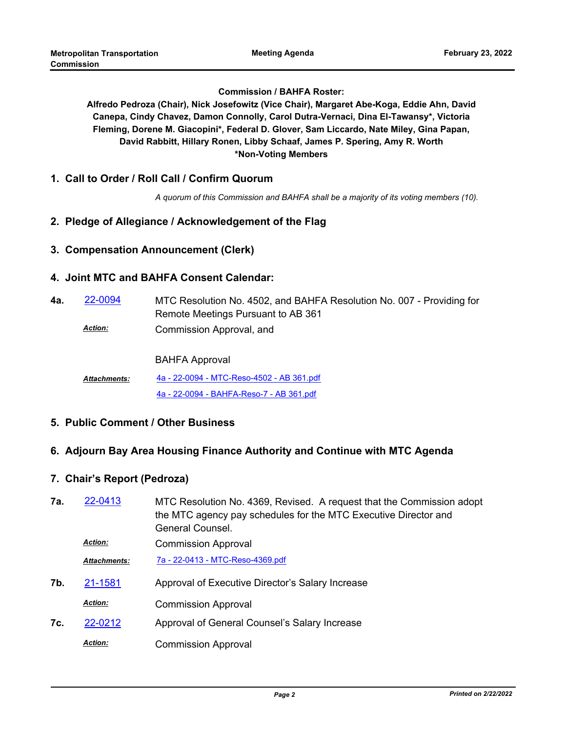#### **Commission / BAHFA Roster:**

**Alfredo Pedroza (Chair), Nick Josefowitz (Vice Chair), Margaret Abe-Koga, Eddie Ahn, David Canepa, Cindy Chavez, Damon Connolly, Carol Dutra-Vernaci, Dina El-Tawansy\*, Victoria Fleming, Dorene M. Giacopini\*, Federal D. Glover, Sam Liccardo, Nate Miley, Gina Papan, David Rabbitt, Hillary Ronen, Libby Schaaf, James P. Spering, Amy R. Worth \*Non-Voting Members**

**1. Call to Order / Roll Call / Confirm Quorum**

*A quorum of this Commission and BAHFA shall be a majority of its voting members (10).*

## **2. Pledge of Allegiance / Acknowledgement of the Flag**

#### **3. Compensation Announcement (Clerk)**

#### **4. Joint MTC and BAHFA Consent Calendar:**

- MTC Resolution No. 4502, and BAHFA Resolution No. 007 Providing for Remote Meetings Pursuant to AB 361 **4a.** [22-0094](http://mtc.legistar.com/gateway.aspx?m=l&id=/matter.aspx?key=23353)
	- Commission Approval, and *Action:*

BAHFA Approval

[4a - 22-0094 - MTC-Reso-4502 - AB 361.pdf](http://mtc.legistar.com/gateway.aspx?M=F&ID=ac300312-f961-40e4-aa3a-e059ba8ced36.pdf) [4a - 22-0094 - BAHFA-Reso-7 - AB 361.pdf](http://mtc.legistar.com/gateway.aspx?M=F&ID=dca99b45-aba3-404a-901f-f96c1f1c209a.pdf) *Attachments:*

**5. Public Comment / Other Business**

## **6. Adjourn Bay Area Housing Finance Authority and Continue with MTC Agenda**

## **7. Chair's Report (Pedroza)**

| 7a. | 22-0413             | MTC Resolution No. 4369, Revised. A request that the Commission adopt<br>the MTC agency pay schedules for the MTC Executive Director and<br>General Counsel. |
|-----|---------------------|--------------------------------------------------------------------------------------------------------------------------------------------------------------|
|     | <b>Action:</b>      | <b>Commission Approval</b>                                                                                                                                   |
|     | <b>Attachments:</b> | 7a - 22-0413 - MTC-Reso-4369.pdf                                                                                                                             |
| 7b. | 21-1581             | Approval of Executive Director's Salary Increase                                                                                                             |
|     | <b>Action:</b>      | <b>Commission Approval</b>                                                                                                                                   |
| 7c. | 22-0212             | Approval of General Counsel's Salary Increase                                                                                                                |
|     | <b>Action:</b>      | <b>Commission Approval</b>                                                                                                                                   |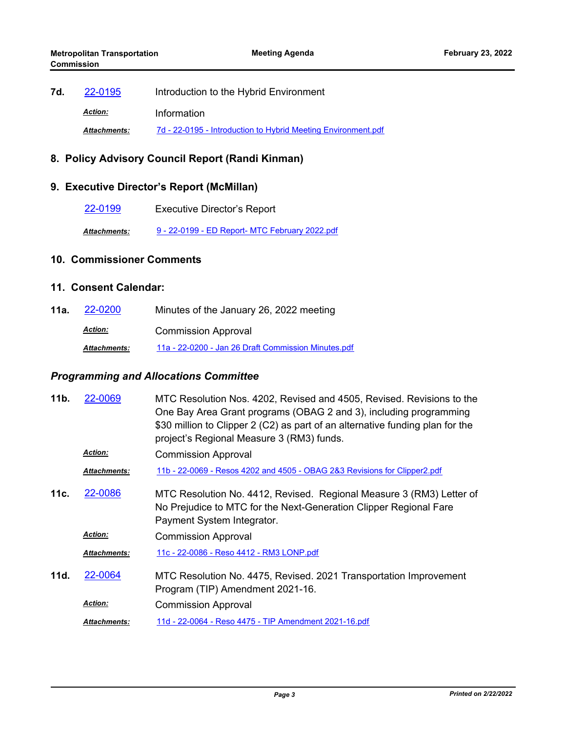7d. [22-0195](http://mtc.legistar.com/gateway.aspx?m=l&id=/matter.aspx?key=23454) Introduction to the Hybrid Environment *Action:* Information *Attachments:* [7d - 22-0195 - Introduction to Hybrid Meeting Environment.pdf](http://mtc.legistar.com/gateway.aspx?M=F&ID=3ebef798-c9d4-4526-b012-f9dc21ae7e8b.pdf)

## **8. Policy Advisory Council Report (Randi Kinman)**

## **9. Executive Director's Report (McMillan)**

[22-0199](http://mtc.legistar.com/gateway.aspx?m=l&id=/matter.aspx?key=23458) Executive Director's Report

*Attachments:* [9 - 22-0199 - ED Report- MTC February 2022.pdf](http://mtc.legistar.com/gateway.aspx?M=F&ID=aa5a43b6-0823-4be5-8ea5-fd11acd43919.pdf)

#### **10. Commissioner Comments**

#### **11. Consent Calendar:**

**11a.** [22-0200](http://mtc.legistar.com/gateway.aspx?m=l&id=/matter.aspx?key=23459) Minutes of the January 26, 2022 meeting Commission Approval *Action: Attachments:* [11a - 22-0200 - Jan 26 Draft Commission Minutes.pdf](http://mtc.legistar.com/gateway.aspx?M=F&ID=ae5bf7ee-98a0-4c92-9b1c-00935668d66b.pdf)

#### *Programming and Allocations Committee*

| 11b. | 22-0069             | MTC Resolution Nos. 4202, Revised and 4505, Revised. Revisions to the<br>One Bay Area Grant programs (OBAG 2 and 3), including programming<br>\$30 million to Clipper 2 (C2) as part of an alternative funding plan for the<br>project's Regional Measure 3 (RM3) funds. |
|------|---------------------|--------------------------------------------------------------------------------------------------------------------------------------------------------------------------------------------------------------------------------------------------------------------------|
|      | <b>Action:</b>      | <b>Commission Approval</b>                                                                                                                                                                                                                                               |
|      | <b>Attachments:</b> | 11b - 22-0069 - Resos 4202 and 4505 - OBAG 2&3 Revisions for Clipper2.pdf                                                                                                                                                                                                |
| 11c. | 22-0086             | MTC Resolution No. 4412, Revised. Regional Measure 3 (RM3) Letter of<br>No Prejudice to MTC for the Next-Generation Clipper Regional Fare<br>Payment System Integrator.                                                                                                  |
|      | <b>Action:</b>      | <b>Commission Approval</b>                                                                                                                                                                                                                                               |
|      | <b>Attachments:</b> | 11c - 22-0086 - Reso 4412 - RM3 LONP.pdf                                                                                                                                                                                                                                 |
| 11d. | 22-0064             | MTC Resolution No. 4475, Revised. 2021 Transportation Improvement<br>Program (TIP) Amendment 2021-16.                                                                                                                                                                    |
|      | <b>Action:</b>      | <b>Commission Approval</b>                                                                                                                                                                                                                                               |
|      | <b>Attachments:</b> | 11d - 22-0064 - Reso 4475 - TIP Amendment 2021-16.pdf                                                                                                                                                                                                                    |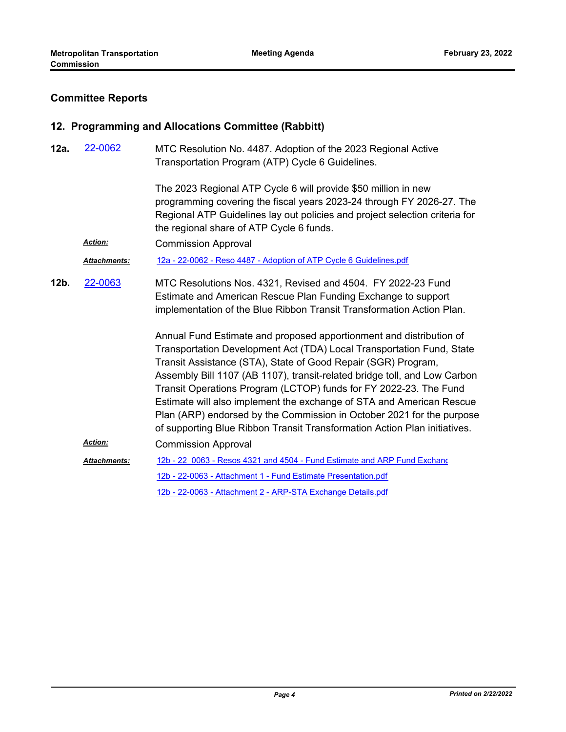# **Committee Reports**

## **12. Programming and Allocations Committee (Rabbitt)**

| 12a. | 22-0062             | MTC Resolution No. 4487. Adoption of the 2023 Regional Active<br>Transportation Program (ATP) Cycle 6 Guidelines.                                                                                                                                                                                                                                                                                                                                                                                                                                                                                                                                                                                                                                                                                       |
|------|---------------------|---------------------------------------------------------------------------------------------------------------------------------------------------------------------------------------------------------------------------------------------------------------------------------------------------------------------------------------------------------------------------------------------------------------------------------------------------------------------------------------------------------------------------------------------------------------------------------------------------------------------------------------------------------------------------------------------------------------------------------------------------------------------------------------------------------|
|      |                     | The 2023 Regional ATP Cycle 6 will provide \$50 million in new<br>programming covering the fiscal years 2023-24 through FY 2026-27. The<br>Regional ATP Guidelines lay out policies and project selection criteria for<br>the regional share of ATP Cycle 6 funds.                                                                                                                                                                                                                                                                                                                                                                                                                                                                                                                                      |
|      | Action:             | <b>Commission Approval</b>                                                                                                                                                                                                                                                                                                                                                                                                                                                                                                                                                                                                                                                                                                                                                                              |
|      | Attachments:        | 12a - 22-0062 - Reso 4487 - Adoption of ATP Cycle 6 Guidelines.pdf                                                                                                                                                                                                                                                                                                                                                                                                                                                                                                                                                                                                                                                                                                                                      |
| 12b. | 22-0063             | MTC Resolutions Nos. 4321, Revised and 4504. FY 2022-23 Fund<br>Estimate and American Rescue Plan Funding Exchange to support<br>implementation of the Blue Ribbon Transit Transformation Action Plan.<br>Annual Fund Estimate and proposed apportionment and distribution of<br>Transportation Development Act (TDA) Local Transportation Fund, State<br>Transit Assistance (STA), State of Good Repair (SGR) Program,<br>Assembly Bill 1107 (AB 1107), transit-related bridge toll, and Low Carbon<br>Transit Operations Program (LCTOP) funds for FY 2022-23. The Fund<br>Estimate will also implement the exchange of STA and American Rescue<br>Plan (ARP) endorsed by the Commission in October 2021 for the purpose<br>of supporting Blue Ribbon Transit Transformation Action Plan initiatives. |
|      | Action:             | <b>Commission Approval</b>                                                                                                                                                                                                                                                                                                                                                                                                                                                                                                                                                                                                                                                                                                                                                                              |
|      | <b>Attachments:</b> | 12b - 22 0063 - Resos 4321 and 4504 - Fund Estimate and ARP Fund Exchang                                                                                                                                                                                                                                                                                                                                                                                                                                                                                                                                                                                                                                                                                                                                |
|      |                     | 12b - 22-0063 - Attachment 1 - Fund Estimate Presentation.pdf                                                                                                                                                                                                                                                                                                                                                                                                                                                                                                                                                                                                                                                                                                                                           |
|      |                     | 12b - 22-0063 - Attachment 2 - ARP-STA Exchange Details.pdf                                                                                                                                                                                                                                                                                                                                                                                                                                                                                                                                                                                                                                                                                                                                             |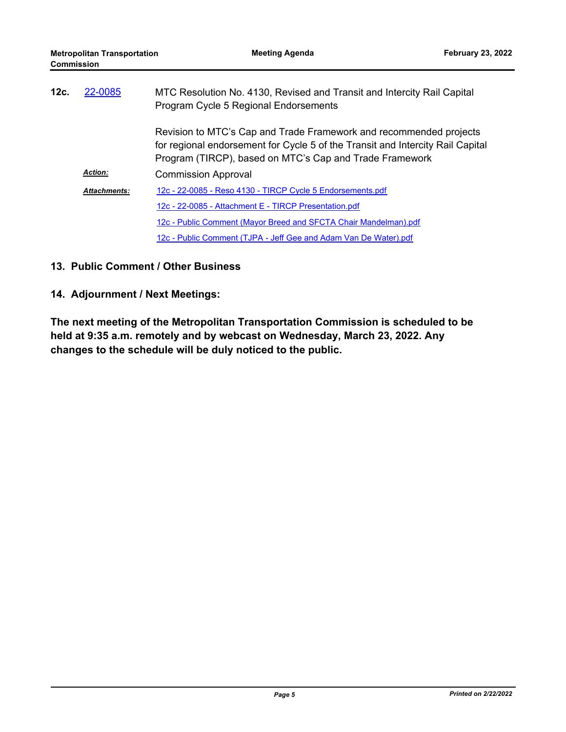| 12c. | 22-0085             | MTC Resolution No. 4130, Revised and Transit and Intercity Rail Capital<br>Program Cycle 5 Regional Endorsements                                                                                                |  |
|------|---------------------|-----------------------------------------------------------------------------------------------------------------------------------------------------------------------------------------------------------------|--|
|      |                     | Revision to MTC's Cap and Trade Framework and recommended projects<br>for regional endorsement for Cycle 5 of the Transit and Intercity Rail Capital<br>Program (TIRCP), based on MTC's Cap and Trade Framework |  |
|      | <b>Action:</b>      | <b>Commission Approval</b>                                                                                                                                                                                      |  |
|      | <b>Attachments:</b> | 12c - 22-0085 - Reso 4130 - TIRCP Cycle 5 Endorsements.pdf                                                                                                                                                      |  |
|      |                     | 12c - 22-0085 - Attachment E - TIRCP Presentation.pdf                                                                                                                                                           |  |
|      |                     | 12c - Public Comment (Mayor Breed and SFCTA Chair Mandelman).pdf                                                                                                                                                |  |
|      |                     | 12c - Public Comment (TJPA - Jeff Gee and Adam Van De Water).pdf                                                                                                                                                |  |

## **13. Public Comment / Other Business**

## **14. Adjournment / Next Meetings:**

**The next meeting of the Metropolitan Transportation Commission is scheduled to be held at 9:35 a.m. remotely and by webcast on Wednesday, March 23, 2022. Any changes to the schedule will be duly noticed to the public.**